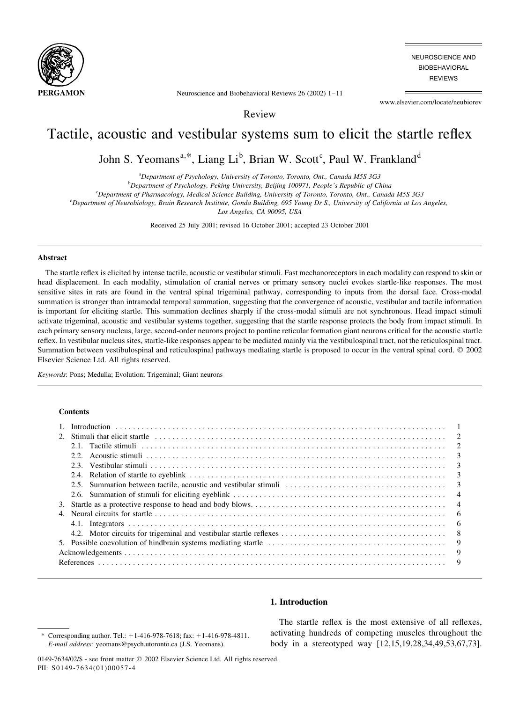

NEUROSCIENCE AND **BIOBEHAVIORAL REVIEWS** 

Neuroscience and Biobehavioral Reviews  $26(2002)$  1-11

www.elsevier.com/locate/neubiorev

Review

# Tactile, acoustic and vestibular systems sum to elicit the startle reflex

John S. Yeomans<sup>a,\*</sup>, Liang Li<sup>b</sup>, Brian W. Scott<sup>c</sup>, Paul W. Frankland<sup>d</sup>

<sup>a</sup>Department of Psychology, University of Toronto, Toronto, Ont., Canada M5S 3G3

<sup>b</sup>Department of Psychology, Peking University, Beijing 100971, People's Republic of China

<sup>c</sup>Department of Pharmacology, Medical Science Building, University of Toronto, Toronto, Ont., Canada M5S 3G3

<sup>d</sup>Department of Neurobiology, Brain Research Institute, Gonda Building, 695 Young Dr S., University of California at Los Angeles,

Los Angeles, CA 90095, USA

Received 25 July 2001; revised 16 October 2001; accepted 23 October 2001

### **Abstract**

The startle reflex is elicited by intense tactile, acoustic or vestibular stimuli. Fast mechanoreceptors in each modality can respond to skin or head displacement. In each modality, stimulation of cranial nerves or primary sensory nuclei evokes startle-like responses. The most sensitive sites in rats are found in the ventral spinal trigeminal pathway, corresponding to inputs from the dorsal face. Cross-modal summation is stronger than intramodal temporal summation, suggesting that the convergence of acoustic, vestibular and tactile information is important for eliciting startle. This summation declines sharply if the cross-modal stimuli are not synchronous. Head impact stimuli activate trigeminal, acoustic and vestibular systems together, suggesting that the startle response protects the body from impact stimuli. In each primary sensory nucleus, large, second-order neurons project to pontine reticular formation giant neurons critical for the acoustic startle reflex. In vestibular nucleus sites, startle-like responses appear to be mediated mainly via the vestibulospinal tract, not the reticulospinal tract. Summation between vestibulospinal and reticulospinal pathways mediating startle is proposed to occur in the ventral spinal cord. © 2002 Elsevier Science Ltd. All rights reserved.

Keywords: Pons; Medulla; Evolution; Trigeminal; Giant neurons

#### **Contents**

|  |                                                                                                                                                                | $\mathcal{E}$ |
|--|----------------------------------------------------------------------------------------------------------------------------------------------------------------|---------------|
|  | 2.3. Vestibular stimuli $\ldots$ $\ldots$ $\ldots$ $\ldots$ $\ldots$ $\ldots$ $\ldots$ $\ldots$ $\ldots$ $\ldots$ $\ldots$ $\ldots$ $\ldots$ $\ldots$ $\ldots$ | $\mathcal{E}$ |
|  |                                                                                                                                                                |               |
|  |                                                                                                                                                                |               |
|  |                                                                                                                                                                |               |
|  |                                                                                                                                                                |               |
|  |                                                                                                                                                                | - 6           |
|  |                                                                                                                                                                |               |
|  |                                                                                                                                                                | - 8           |
|  |                                                                                                                                                                | - 9           |
|  |                                                                                                                                                                | - 9           |
|  |                                                                                                                                                                | -9            |
|  |                                                                                                                                                                |               |

## 1. Introduction

The startle reflex is the most extensive of all reflexes, activating hundreds of competing muscles throughout the body in a stereotyped way [12,15,19,28,34,49,53,67,73].

Corresponding author. Tel.:  $+1-416-978-7618$ ; fax:  $+1-416-978-4811$ . E-mail address: yeomans@psych.utoronto.ca (J.S. Yeomans).

<sup>0149-7634/02/\$ -</sup> see front matter © 2002 Elsevier Science Ltd. All rights reserved. PII: S0149-7634(01)00057-4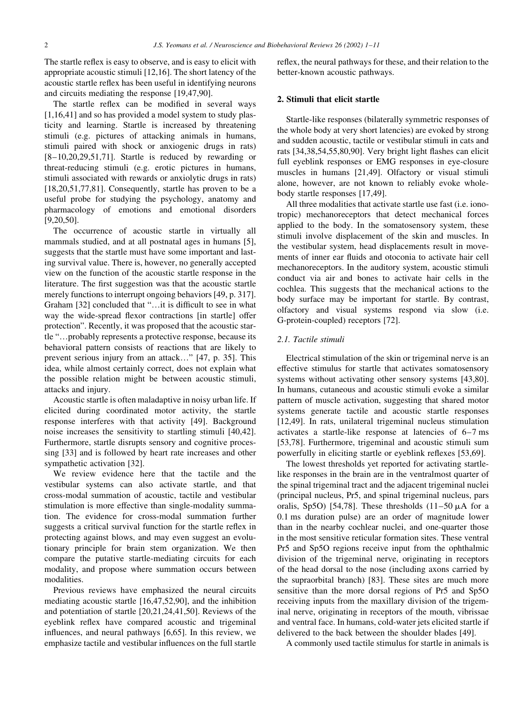The startle reflex is easy to observe, and is easy to elicit with appropriate acoustic stimuli  $[12,16]$ . The short latency of the acoustic startle reflex has been useful in identifying neurons and circuits mediating the response [19,47,90].

The startle reflex can be modified in several ways  $[1,16,41]$  and so has provided a model system to study plasticity and learning. Startle is increased by threatening stimuli (e.g. pictures of attacking animals in humans, stimuli paired with shock or anxiogenic drugs in rats)  $[8-10, 20, 29, 51, 71]$ . Startle is reduced by rewarding or threat-reducing stimuli (e.g. erotic pictures in humans, stimuli associated with rewards or anxiolytic drugs in rats)  $[18,20,51,77,81]$ . Consequently, startle has proven to be a useful probe for studying the psychology, anatomy and pharmacology of emotions and emotional disorders  $[9.20.50]$ .

The occurrence of acoustic startle in virtually all mammals studied, and at all postnatal ages in humans [5], suggests that the startle must have some important and lasting survival value. There is, however, no generally accepted view on the function of the acoustic startle response in the literature. The first suggestion was that the acoustic startle merely functions to interrupt ongoing behaviors [49, p. 317]. Graham [32] concluded that "...it is difficult to see in what way the wide-spread flexor contractions [in startle] offer protection". Recently, it was proposed that the acoustic startle "...probably represents a protective response, because its behavioral pattern consists of reactions that are likely to prevent serious injury from an attack..." [47, p. 35]. This idea, while almost certainly correct, does not explain what the possible relation might be between acoustic stimuli, attacks and injury.

Acoustic startle is often maladaptive in noisy urban life. If elicited during coordinated motor activity, the startle response interferes with that activity [49]. Background noise increases the sensitivity to startling stimuli [40,42]. Furthermore, startle disrupts sensory and cognitive processing [33] and is followed by heart rate increases and other sympathetic activation [32].

We review evidence here that the tactile and the vestibular systems can also activate startle, and that cross-modal summation of acoustic, tactile and vestibular stimulation is more effective than single-modality summation. The evidence for cross-modal summation further suggests a critical survival function for the startle reflex in protecting against blows, and may even suggest an evolutionary principle for brain stem organization. We then compare the putative startle-mediating circuits for each modality, and propose where summation occurs between modalities.

Previous reviews have emphasized the neural circuits mediating acoustic startle  $[16,47,52,90]$ , and the inhibition and potentiation of startle [20,21,24,41,50]. Reviews of the eyeblink reflex have compared acoustic and trigeminal influences, and neural pathways [6,65]. In this review, we emphasize tactile and vestibular influences on the full startle

reflex, the neural pathways for these, and their relation to the better-known acoustic pathways.

## 2. Stimuli that elicit startle

Startle-like responses (bilaterally symmetric responses of the whole body at very short latencies) are evoked by strong and sudden acoustic, tactile or vestibular stimuli in cats and rats [34,38,54,55,80,90]. Very bright light flashes can elicit full eyeblink responses or EMG responses in eye-closure muscles in humans [21,49]. Olfactory or visual stimuli alone, however, are not known to reliably evoke wholebody startle responses [17,49].

All three modalities that activate startle use fast (i.e. ionotropic) mechanoreceptors that detect mechanical forces applied to the body. In the somatosensory system, these stimuli involve displacement of the skin and muscles. In the vestibular system, head displacements result in movements of inner ear fluids and otoconia to activate hair cell mechanoreceptors. In the auditory system, acoustic stimuli conduct via air and bones to activate hair cells in the cochlea. This suggests that the mechanical actions to the body surface may be important for startle. By contrast, olfactory and visual systems respond via slow (i.e. G-protein-coupled) receptors [72].

## 2.1. Tactile stimuli

Electrical stimulation of the skin or trigeminal nerve is an effective stimulus for startle that activates somatosensory systems without activating other sensory systems [43,80]. In humans, cutaneous and acoustic stimuli evoke a similar pattern of muscle activation, suggesting that shared motor systems generate tactile and acoustic startle responses [12,49]. In rats, unilateral trigeminal nucleus stimulation activates a startle-like response at latencies of 6–7 ms [53,78]. Furthermore, trigeminal and acoustic stimuli sum powerfully in eliciting startle or eyeblink reflexes [53,69].

The lowest thresholds yet reported for activating startlelike responses in the brain are in the ventralmost quarter of the spinal trigeminal tract and the adjacent trigeminal nuclei (principal nucleus, Pr5, and spinal trigeminal nucleus, pars oralis, Sp5O) [54,78]. These thresholds  $(11-50 \mu A)$  for a 0.1 ms duration pulse) are an order of magnitude lower than in the nearby cochlear nuclei, and one-quarter those in the most sensitive reticular formation sites. These ventral Pr5 and Sp5O regions receive input from the ophthalmic division of the trigeminal nerve, originating in receptors of the head dorsal to the nose (including axons carried by the supraorbital branch) [83]. These sites are much more sensitive than the more dorsal regions of Pr5 and Sp5O receiving inputs from the maxillary division of the trigeminal nerve, originating in receptors of the mouth, vibrissae and ventral face. In humans, cold-water jets elicited startle if delivered to the back between the shoulder blades [49].

A commonly used tactile stimulus for startle in animals is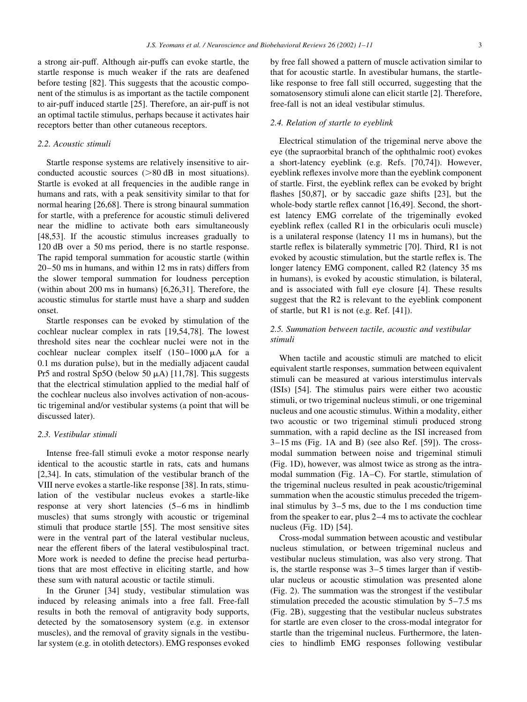a strong air-puff. Although air-puffs can evoke startle, the startle response is much weaker if the rats are deafened before testing [82]. This suggests that the acoustic component of the stimulus is as important as the tactile component to air-puff induced startle [25]. Therefore, an air-puff is not an optimal tactile stimulus, perhaps because it activates hair receptors better than other cutaneous receptors.

## 2.2. Acoustic stimuli

Startle response systems are relatively insensitive to airconducted acoustic sources  $(>\!\!80$  dB in most situations). Startle is evoked at all frequencies in the audible range in humans and rats, with a peak sensitivity similar to that for normal hearing [26,68]. There is strong binaural summation for startle, with a preference for acoustic stimuli delivered near the midline to activate both ears simultaneously [48,53]. If the acoustic stimulus increases gradually to 120 dB over a 50 ms period, there is no startle response. The rapid temporal summation for acoustic startle (within  $20-50$  ms in humans, and within 12 ms in rats) differs from the slower temporal summation for loudness perception (within about 200 ms in humans) [6,26,31]. Therefore, the acoustic stimulus for startle must have a sharp and sudden onset.

Startle responses can be evoked by stimulation of the cochlear nuclear complex in rats [19,54,78]. The lowest threshold sites near the cochlear nuclei were not in the cochlear nuclear complex itself  $(150-1000 \mu A)$  for a 0.1 ms duration pulse), but in the medially adjacent caudal Pr5 and rostral Sp5O (below 50  $\mu$ A) [11,78]. This suggests that the electrical stimulation applied to the medial half of the cochlear nucleus also involves activation of non-acoustic trigeminal and/or vestibular systems (a point that will be discussed later).

### 2.3. Vestibular stimuli

Intense free-fall stimuli evoke a motor response nearly identical to the acoustic startle in rats, cats and humans [2,34]. In cats, stimulation of the vestibular branch of the VIII nerve evokes a startle-like response [38]. In rats, stimulation of the vestibular nucleus evokes a startle-like response at very short latencies (5–6 ms in hindlimb muscles) that sums strongly with acoustic or trigeminal stimuli that produce startle [55]. The most sensitive sites were in the ventral part of the lateral vestibular nucleus, near the efferent fibers of the lateral vestibulospinal tract. More work is needed to define the precise head perturbations that are most effective in eliciting startle, and how these sum with natural acoustic or tactile stimuli.

In the Gruner [34] study, vestibular stimulation was induced by releasing animals into a free fall. Free-fall results in both the removal of antigravity body supports, detected by the somatosensory system (e.g. in extensor muscles), and the removal of gravity signals in the vestibular system (e.g. in otolith detectors). EMG responses evoked

by free fall showed a pattern of muscle activation similar to that for acoustic startle. In avestibular humans, the startlelike response to free fall still occurred, suggesting that the somatosensory stimuli alone can elicit startle [2]. Therefore, free-fall is not an ideal vestibular stimulus.

### 2.4. Relation of startle to eyeblink

Electrical stimulation of the trigeminal nerve above the eve (the supraorbital branch of the ophthalmic root) evokes a short-latency eyeblink (e.g. Refs. [70,74]). However, eyeblink reflexes involve more than the eyeblink component of startle. First, the eyeblink reflex can be evoked by bright flashes [50,87], or by saccadic gaze shifts [23], but the whole-body startle reflex cannot [16,49]. Second, the shortest latency EMG correlate of the trigeminally evoked eyeblink reflex (called R1 in the orbicularis oculi muscle) is a unilateral response (latency 11 ms in humans), but the startle reflex is bilaterally symmetric [70]. Third, R1 is not evoked by acoustic stimulation, but the startle reflex is. The longer latency EMG component, called R2 (latency 35 ms) in humans), is evoked by acoustic stimulation, is bilateral, and is associated with full eye closure [4]. These results suggest that the R2 is relevant to the eyeblink component of startle, but R1 is not (e.g. Ref.  $[41]$ ).

## 2.5. Summation between tactile, acoustic and vestibular stimuli

When tactile and acoustic stimuli are matched to elicit equivalent startle responses, summation between equivalent stimuli can be measured at various interstimulus intervals (ISIs) [54]. The stimulus pairs were either two acoustic stimuli, or two trigeminal nucleus stimuli, or one trigeminal nucleus and one acoustic stimulus. Within a modality, either two acoustic or two trigeminal stimuli produced strong summation, with a rapid decline as the ISI increased from  $3-15$  ms (Fig. 1A and B) (see also Ref. [59]). The crossmodal summation between noise and trigeminal stimuli (Fig. 1D), however, was almost twice as strong as the intramodal summation (Fig. 1A–C). For startle, stimulation of the trigeminal nucleus resulted in peak acoustic/trigeminal summation when the acoustic stimulus preceded the trigeminal stimulus by  $3-5$  ms, due to the 1 ms conduction time from the speaker to ear, plus 2–4 ms to activate the cochlear nucleus (Fig. 1D) [54].

Cross-modal summation between acoustic and vestibular nucleus stimulation, or between trigeminal nucleus and vestibular nucleus stimulation, was also very strong. That is, the startle response was  $3-5$  times larger than if vestibular nucleus or acoustic stimulation was presented alone (Fig. 2). The summation was the strongest if the vestibular stimulation preceded the acoustic stimulation by  $5-7.5$  ms (Fig. 2B), suggesting that the vestibular nucleus substrates for startle are even closer to the cross-modal integrator for startle than the trigeminal nucleus. Furthermore, the latencies to hindlimb EMG responses following vestibular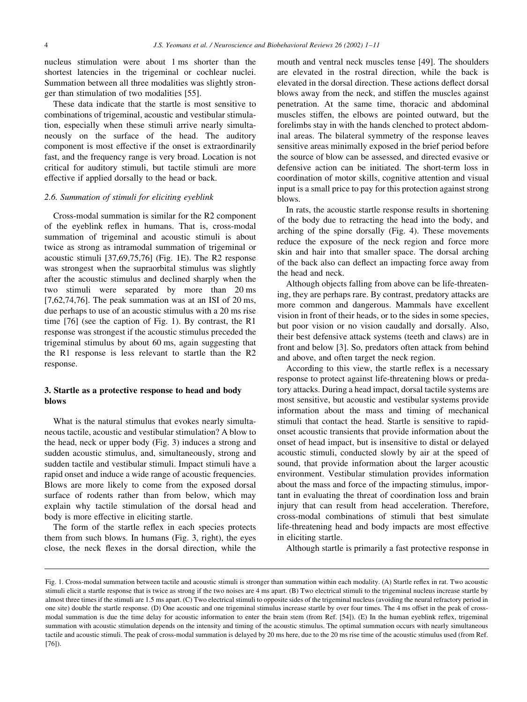nucleus stimulation were about 1 ms shorter than the shortest latencies in the trigeminal or cochlear nuclei. Summation between all three modalities was slightly stronger than stimulation of two modalities [55].

These data indicate that the startle is most sensitive to combinations of trigeminal, acoustic and vestibular stimulation, especially when these stimuli arrive nearly simultaneously on the surface of the head. The auditory component is most effective if the onset is extraordinarily fast, and the frequency range is very broad. Location is not critical for auditory stimuli, but tactile stimuli are more effective if applied dorsally to the head or back.

### 2.6. Summation of stimuli for eliciting eyeblink

Cross-modal summation is similar for the R2 component of the eyeblink reflex in humans. That is, cross-modal summation of trigeminal and acoustic stimuli is about twice as strong as intramodal summation of trigeminal or acoustic stimuli [37,69,75,76] (Fig. 1E). The R2 response was strongest when the supraorbital stimulus was slightly after the acoustic stimulus and declined sharply when the two stimuli were separated by more than 20 ms  $[7,62,74,76]$ . The peak summation was at an ISI of 20 ms, due perhaps to use of an acoustic stimulus with a 20 ms rise time  $[76]$  (see the caption of Fig. 1). By contrast, the R1 response was strongest if the acoustic stimulus preceded the trigeminal stimulus by about 60 ms, again suggesting that the R1 response is less relevant to startle than the R2 response.

## 3. Startle as a protective response to head and body blows

What is the natural stimulus that evokes nearly simultaneous tactile, acoustic and vestibular stimulation? A blow to the head, neck or upper body (Fig. 3) induces a strong and sudden acoustic stimulus, and, simultaneously, strong and sudden tactile and vestibular stimuli. Impact stimuli have a rapid onset and induce a wide range of acoustic frequencies. Blows are more likely to come from the exposed dorsal surface of rodents rather than from below, which may explain why tactile stimulation of the dorsal head and body is more effective in eliciting startle.

The form of the startle reflex in each species protects them from such blows. In humans (Fig. 3, right), the eyes close, the neck flexes in the dorsal direction, while the mouth and ventral neck muscles tense [49]. The shoulders are elevated in the rostral direction, while the back is elevated in the dorsal direction. These actions deflect dorsal blows away from the neck, and stiffen the muscles against penetration. At the same time, thoracic and abdominal muscles stiffen, the elbows are pointed outward, but the forelimbs stay in with the hands clenched to protect abdominal areas. The bilateral symmetry of the response leaves sensitive areas minimally exposed in the brief period before the source of blow can be assessed, and directed evasive or defensive action can be initiated. The short-term loss in coordination of motor skills, cognitive attention and visual input is a small price to pay for this protection against strong blows.

In rats, the acoustic startle response results in shortening of the body due to retracting the head into the body, and arching of the spine dorsally (Fig. 4). These movements reduce the exposure of the neck region and force more skin and hair into that smaller space. The dorsal arching of the back also can deflect an impacting force away from the head and neck.

Although objects falling from above can be life-threatening, they are perhaps rare. By contrast, predatory attacks are more common and dangerous. Mammals have excellent vision in front of their heads, or to the sides in some species, but poor vision or no vision caudally and dorsally. Also, their best defensive attack systems (teeth and claws) are in front and below [3]. So, predators often attack from behind and above, and often target the neck region.

According to this view, the startle reflex is a necessary response to protect against life-threatening blows or predatory attacks. During a head impact, dorsal tactile systems are most sensitive, but acoustic and vestibular systems provide information about the mass and timing of mechanical stimuli that contact the head. Startle is sensitive to rapidonset acoustic transients that provide information about the onset of head impact, but is insensitive to distal or delayed acoustic stimuli, conducted slowly by air at the speed of sound, that provide information about the larger acoustic environment. Vestibular stimulation provides information about the mass and force of the impacting stimulus, important in evaluating the threat of coordination loss and brain injury that can result from head acceleration. Therefore, cross-modal combinations of stimuli that best simulate life-threatening head and body impacts are most effective in eliciting startle.

Although startle is primarily a fast protective response in

Fig. 1. Cross-modal summation between tactile and acoustic stimuli is stronger than summation within each modality. (A) Startle reflex in rat. Two acoustic stimuli elicit a startle response that is twice as strong if the two noises are 4 ms apart. (B) Two electrical stimuli to the trigeminal nucleus increase startle by almost three times if the stimuli are 1.5 ms apart. (C) Two electrical stimuli to opposite sides of the trigeminal nucleus (avoiding the neural refractory period in one site) double the startle response. (D) One acoustic and one trigeminal stimulus increase startle by over four times. The 4 ms offset in the peak of crossmodal summation is due the time delay for acoustic information to enter the brain stem (from Ref. [54]). (E) In the human eyeblink reflex, trigeminal summation with acoustic stimulation depends on the intensity and timing of the acoustic stimulus. The optimal summation occurs with nearly simultaneous tactile and acoustic stimuli. The peak of cross-modal summation is delayed by 20 ms here, due to the 20 ms rise time of the acoustic stimulus used (from Ref.  $[76]$ .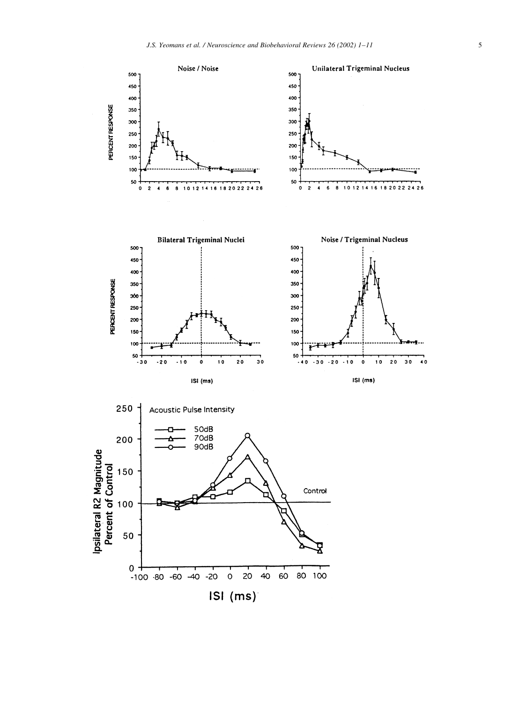



 $40$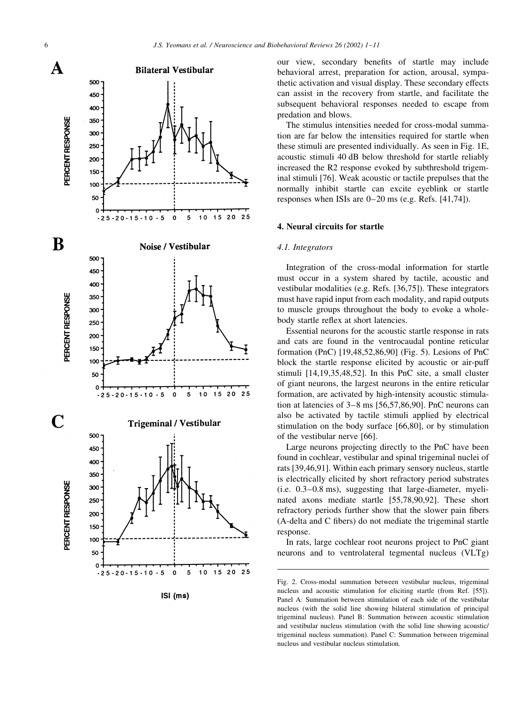

our view, secondary benefits of startle may include behavioral arrest, preparation for action, arousal, sympathetic activation and visual display. These secondary effects can assist in the recovery from startle, and facilitate the subsequent behavioral responses needed to escape from predation and blows.

The stimulus intensities needed for cross-modal summation are far below the intensities required for startle when these stimuli are presented individually. As seen in Fig. 1E, acoustic stimuli 40 dB below threshold for startle reliably increased the R2 response evoked by subthreshold trigeminal stimuli [76]. Weak acoustic or tactile prepulses that the normally inhibit startle can excite eyeblink or startle responses when ISIs are  $0-20$  ms (e.g. Refs. [41,74]).

#### 4. Neural circuits for startle

#### 4.1. Integrators

Integration of the cross-modal information for startle must occur in a system shared by tactile, acoustic and vestibular modalities (e.g. Refs. [36,75]). These integrators must have rapid input from each modality, and rapid outputs to muscle groups throughout the body to evoke a wholebody startle reflex at short latencies.

Essential neurons for the acoustic startle response in rats and cats are found in the ventrocaudal pontine reticular formation (PnC) [19,48,52,86,90] (Fig. 5). Lesions of PnC block the startle response elicited by acoustic or air-puff stimuli [14,19,35,48,52]. In this PnC site, a small cluster of giant neurons, the largest neurons in the entire reticular formation, are activated by high-intensity acoustic stimulation at latencies of  $3-8$  ms  $[56,57,86,90]$ . PnC neurons can also be activated by tactile stimuli applied by electrical stimulation on the body surface  $[66,80]$ , or by stimulation of the vestibular nerve [66].

Large neurons projecting directly to the PnC have been found in cochlear, vestibular and spinal trigeminal nuclei of rats [39,46,91]. Within each primary sensory nucleus, startle is electrically elicited by short refractory period substrates (i.e. 0.3–0.8 ms), suggesting that large-diameter, myelinated axons mediate startle [55,78,90,92]. These short refractory periods further show that the slower pain fibers (A-delta and C fibers) do not mediate the trigeminal startle response.

In rats, large cochlear root neurons project to PnC giant neurons and to ventrolateral tegmental nucleus (VLTg)

Fig. 2. Cross-modal summation between vestibular nucleus, trigeminal nucleus and acoustic stimulation for eliciting startle (from Ref. [55]). Panel A: Summation between stimulation of each side of the vestibular nucleus (with the solid line showing bilateral stimulation of principal trigeminal nucleus). Panel B: Summation between acoustic stimulation and vestibular nucleus stimulation (with the solid line showing acoustic/ trigeminal nucleus summation). Panel C: Summation between trigeminal nucleus and vestibular nucleus stimulation.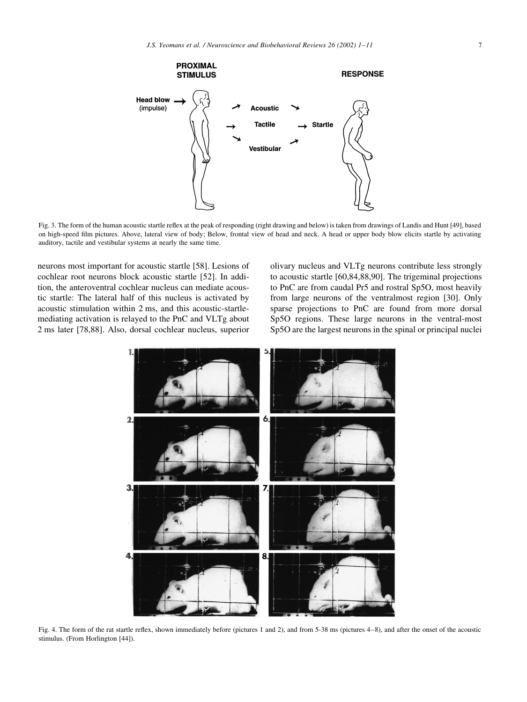

Fig. 3. The form of the human acoustic startle reflex at the peak of responding (right drawing and below) is taken from drawings of Landis and Hunt [49], based on high-speed film pictures. Above, lateral view of body; Below, frontal view of head and neck. A head or upper body blow elicits startle by activating auditory, tactile and vestibular systems at nearly the same time.

neurons most important for acoustic startle [58]. Lesions of cochlear root neurons block acoustic startle [52]. In addition, the anteroventral cochlear nucleus can mediate acoustic startle: The lateral half of this nucleus is activated by acoustic stimulation within 2 ms, and this acoustic-startlemediating activation is relayed to the PnC and VLTg about 2 ms later [78,88]. Also, dorsal cochlear nucleus, superior

olivary nucleus and VLTg neurons contribute less strongly to acoustic startle [60,84,88,90]. The trigeminal projections to PnC are from caudal Pr5 and rostral Sp5O, most heavily from large neurons of the ventralmost region [30]. Only sparse projections to PnC are found from more dorsal Sp5O regions. These large neurons in the ventral-most Sp5O are the largest neurons in the spinal or principal nuclei



Fig. 4. The form of the rat startle reflex, shown immediately before (pictures 1 and 2), and from 5-38 ms (pictures 4–8), and after the onset of the acoustic stimulus. (From Horlington [44]).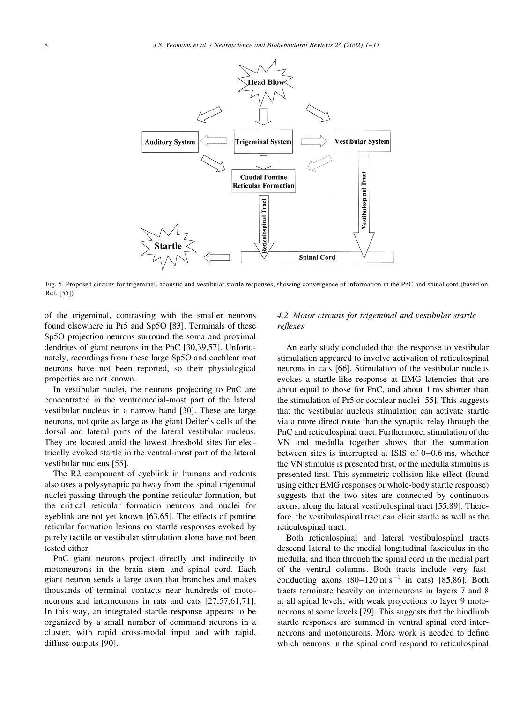

Fig. 5. Proposed circuits for trigeminal, acoustic and vestibular startle responses, showing convergence of information in the PnC and spinal cord (based on Ref. [55]).

of the trigeminal, contrasting with the smaller neurons found elsewhere in Pr5 and Sp5O [83]. Terminals of these Sp5O projection neurons surround the soma and proximal dendrites of giant neurons in the PnC [30,39,57]. Unfortunately, recordings from these large Sp5O and cochlear root neurons have not been reported, so their physiological properties are not known.

In vestibular nuclei, the neurons projecting to PnC are. concentrated in the ventromedial-most part of the lateral vestibular nucleus in a narrow band [30]. These are large neurons, not quite as large as the giant Deiter's cells of the dorsal and lateral parts of the lateral vestibular nucleus. They are located amid the lowest threshold sites for electrically evoked startle in the ventral-most part of the lateral vestibular nucleus [55].

The R2 component of eyeblink in humans and rodents also uses a polysynaptic pathway from the spinal trigeminal nuclei passing through the pontine reticular formation, but the critical reticular formation neurons and nuclei for eyeblink are not yet known [63,65]. The effects of pontine reticular formation lesions on startle responses evoked by purely tactile or vestibular stimulation alone have not been tested either.

PnC giant neurons project directly and indirectly to motoneurons in the brain stem and spinal cord. Each giant neuron sends a large axon that branches and makes thousands of terminal contacts near hundreds of motoneurons and interneurons in rats and cats [27,57,61,71]. In this way, an integrated startle response appears to be organized by a small number of command neurons in a cluster, with rapid cross-modal input and with rapid, diffuse outputs [90].

## 4.2. Motor circuits for trigeminal and vestibular startle reflexes

An early study concluded that the response to vestibular stimulation appeared to involve activation of reticulospinal neurons in cats [66]. Stimulation of the vestibular nucleus evokes a startle-like response at EMG latencies that are about equal to those for PnC, and about 1 ms shorter than the stimulation of Pr5 or cochlear nuclei [55]. This suggests that the vestibular nucleus stimulation can activate startle via a more direct route than the synaptic relay through the PnC and reticulospinal tract. Furthermore, stimulation of the VN and medulla together shows that the summation between sites is interrupted at ISIS of  $0-0.6$  ms, whether the VN stimulus is presented first, or the medulla stimulus is presented first. This symmetric collision-like effect (found using either EMG responses or whole-body startle response) suggests that the two sites are connected by continuous axons, along the lateral vestibulospinal tract [55,89]. Therefore, the vestibulospinal tract can elicit startle as well as the reticulospinal tract.

Both reticulospinal and lateral vestibulospinal tracts descend lateral to the medial longitudinal fasciculus in the medulla, and then through the spinal cord in the medial part of the ventral columns. Both tracts include very fastconducting axons  $(80-120 \text{ m s}^{-1}$  in cats) [85,86]. Both tracts terminate heavily on interneurons in layers 7 and 8 at all spinal levels, with weak projections to layer 9 motoneurons at some levels [79]. This suggests that the hindlimb startle responses are summed in ventral spinal cord interneurons and motoneurons. More work is needed to define which neurons in the spinal cord respond to reticulospinal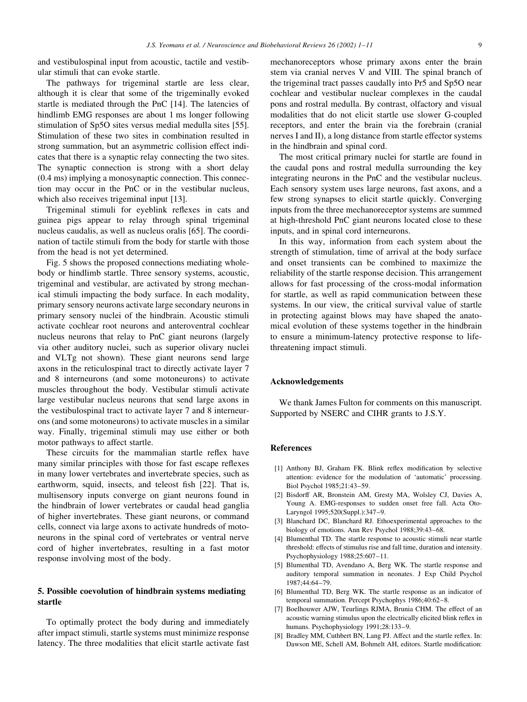and vestibulospinal input from acoustic, tactile and vestibular stimuli that can evoke startle.

The pathways for trigeminal startle are less clear, although it is clear that some of the trigeminally evoked startle is mediated through the PnC [14]. The latencies of hindlimb EMG responses are about 1 ms longer following stimulation of Sp5O sites versus medial medulla sites [55]. Stimulation of these two sites in combination resulted in strong summation, but an asymmetric collision effect indicates that there is a synaptic relay connecting the two sites. The synaptic connection is strong with a short delay  $(0.4 \text{ ms})$  implying a monosynaptic connection. This connection may occur in the PnC or in the vestibular nucleus, which also receives trigeminal input [13].

Trigeminal stimuli for eyeblink reflexes in cats and guinea pigs appear to relay through spinal trigeminal nucleus caudalis, as well as nucleus oralis [65]. The coordination of tactile stimuli from the body for startle with those from the head is not yet determined.

Fig. 5 shows the proposed connections mediating wholebody or hindlimb startle. Three sensory systems, acoustic, trigeminal and vestibular, are activated by strong mechanical stimuli impacting the body surface. In each modality, primary sensory neurons activate large secondary neurons in primary sensory nuclei of the hindbrain. Acoustic stimuli activate cochlear root neurons and anteroventral cochlear nucleus neurons that relay to PnC giant neurons (largely via other auditory nuclei, such as superior olivary nuclei and VLTg not shown). These giant neurons send large axons in the reticulospinal tract to directly activate layer 7 and 8 interneurons (and some motoneurons) to activate muscles throughout the body. Vestibular stimuli activate large vestibular nucleus neurons that send large axons in the vestibulospinal tract to activate layer 7 and 8 interneurons (and some motoneurons) to activate muscles in a similar way. Finally, trigeminal stimuli may use either or both motor pathways to affect startle.

These circuits for the mammalian startle reflex have many similar principles with those for fast escape reflexes in many lower vertebrates and invertebrate species, such as earthworm, squid, insects, and teleost fish [22]. That is, multisensory inputs converge on giant neurons found in the hindbrain of lower vertebrates or caudal head ganglia of higher invertebrates. These giant neurons, or command cells, connect via large axons to activate hundreds of motoneurons in the spinal cord of vertebrates or ventral nerve cord of higher invertebrates, resulting in a fast motor response involving most of the body.

## 5. Possible coevolution of hindbrain systems mediating startle

To optimally protect the body during and immediately after impact stimuli, startle systems must minimize response latency. The three modalities that elicit startle activate fast mechanoreceptors whose primary axons enter the brain stem via cranial nerves V and VIII. The spinal branch of the trigeminal tract passes caudally into Pr5 and Sp5O near cochlear and vestibular nuclear complexes in the caudal pons and rostral medulla. By contrast, olfactory and visual modalities that do not elicit startle use slower G-coupled receptors, and enter the brain via the forebrain (cranial nerves I and II), a long distance from startle effector systems in the hindbrain and spinal cord.

The most critical primary nuclei for startle are found in the caudal pons and rostral medulla surrounding the key integrating neurons in the PnC and the vestibular nucleus. Each sensory system uses large neurons, fast axons, and a few strong synapses to elicit startle quickly. Converging inputs from the three mechanoreceptor systems are summed at high-threshold PnC giant neurons located close to these inputs, and in spinal cord interneurons.

In this way, information from each system about the strength of stimulation, time of arrival at the body surface and onset transients can be combined to maximize the reliability of the startle response decision. This arrangement allows for fast processing of the cross-modal information for startle, as well as rapid communication between these systems. In our view, the critical survival value of startle in protecting against blows may have shaped the anatomical evolution of these systems together in the hindbrain to ensure a minimum-latency protective response to lifethreatening impact stimuli.

## **Acknowledgements**

We thank James Fulton for comments on this manuscript. Supported by NSERC and CIHR grants to J.S.Y.

## **References**

- [1] Anthony BJ, Graham FK. Blink reflex modification by selective attention: evidence for the modulation of 'automatic' processing. Biol Psychol 1985;21:43-59.
- [2] Bisdorff AR, Bronstein AM, Gresty MA, Wolsley CJ, Davies A, Young A. EMG-responses to sudden onset free fall. Acta Oto-Laryngol 1995;520(Suppl.):347-9.
- [3] Blanchard DC, Blanchard RJ. Ethoexperimental approaches to the biology of emotions. Ann Rev Psychol 1988;39:43-68.
- [4] Blumenthal TD. The startle response to acoustic stimuli near startle threshold: effects of stimulus rise and fall time, duration and intensity. Psychophysiology 1988;25:607-11.
- [5] Blumenthal TD, Avendano A, Berg WK. The startle response and auditory temporal summation in neonates. J Exp Child Psychol 1987;44:64-79.
- [6] Blumenthal TD, Berg WK. The startle response as an indicator of temporal summation. Percept Psychophys 1986;40:62-8.
- [7] Boelhouwer AJW, Teurlings RJMA, Brunia CHM. The effect of an acoustic warning stimulus upon the electrically elicited blink reflex in humans. Psychophysiology 1991;28:133-9.
- [8] Bradley MM, Cuthbert BN, Lang PJ. Affect and the startle reflex. In: Dawson ME, Schell AM, Bohmelt AH, editors. Startle modification: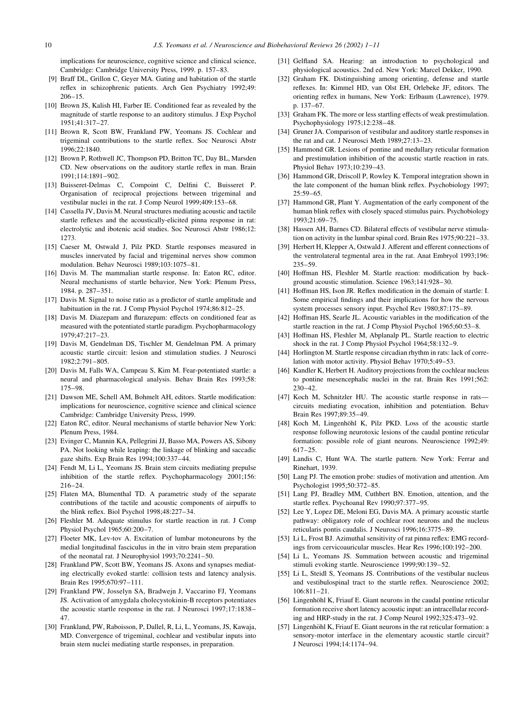implications for neuroscience, cognitive science and clinical science, Cambridge: Cambridge University Press, 1999. p. 157-83.

- [9] Braff DL, Grillon C, Geyer MA. Gating and habitation of the startle reflex in schizophrenic patients. Arch Gen Psychiatry 1992;49:  $206 - 15$ .
- [10] Brown JS, Kalish HI, Farber IE. Conditioned fear as revealed by the magnitude of startle response to an auditory stimulus. J Exp Psychol 1951:41:317-27.
- [11] Brown R. Scott BW, Frankland PW, Yeomans JS, Cochlear and trigeminal contributions to the startle reflex. Soc Neurosci Abstr 1996:22:1840.
- [12] Brown P, Rothwell JC, Thompson PD, Britton TC, Day BL, Marsden CD. New observations on the auditory startle reflex in man. Brain 1991;114:1891-902.
- [13] Buisseret-Delmas C, Compoint C, Delfini C, Buisseret P. Organisation of reciprocal projections between trigeminal and vestibular nuclei in the rat. J Comp Neurol 1999;409:153-68.
- [14] Cassella JV, Davis M. Neural structures mediating acoustic and tactile startle reflexes and the acoustically-elicited pinna response in rat: electrolytic and ibotenic acid studies. Soc Neurosci Abstr 1986;12: 1273
- [15] Caeser M, Ostwald J, Pilz PKD. Startle responses measured in muscles innervated by facial and trigeminal nerves show common modulation. Behav Neurosci 1989;103:1075-81.
- [16] Davis M. The mammalian startle response. In: Eaton RC, editor. Neural mechanisms of startle behavior, New York: Plenum Press, 1984. p. 287-351.
- [17] Davis M. Signal to noise ratio as a predictor of startle amplitude and habituation in the rat. J Comp Physiol Psychol 1974;86:812-25.
- [18] Davis M. Diazepam and flurazepam: effects on conditioned fear as measured with the potentiated startle paradigm. Psychopharmacology 1979:47:217-23.
- [19] Davis M, Gendelman DS, Tischler M, Gendelman PM. A primary acoustic startle circuit: lesion and stimulation studies. J Neurosci  $1982.2.791 - 805$
- [20] Davis M. Falls WA, Campeau S, Kim M. Fear-potentiated startle: a neural and pharmacological analysis. Behav Brain Res 1993;58:  $175 - 98$
- [21] Dawson ME, Schell AM, Bohmelt AH, editors. Startle modification: implications for neuroscience, cognitive science and clinical science Cambridge: Cambridge University Press, 1999.
- [22] Eaton RC, editor. Neural mechanisms of startle behavior New York: Plenum Press, 1984.
- [23] Evinger C, Mannin KA, Pellegrini JJ, Basso MA, Powers AS, Sibony PA. Not looking while leaping: the linkage of blinking and saccadic gaze shifts. Exp Brain Res 1994;100:337-44.
- [24] Fendt M, Li L, Yeomans JS. Brain stem circuits mediating prepulse inhibition of the startle reflex. Psychopharmacology 2001;156:  $216 - 24$
- [25] Flaten MA, Blumenthal TD. A parametric study of the separate contributions of the tactile and acoustic components of airpuffs to the blink reflex. Biol Psychol 1998;48:227-34.
- [26] Fleshler M. Adequate stimulus for startle reaction in rat. J Comp Physiol Psychol 1965:60:200-7.
- [27] Floeter MK, Lev-tov A. Excitation of lumbar motoneurons by the medial longitudinal fasciculus in the in vitro brain stem preparation of the neonatal rat. J Neurophysiol 1993;70:2241-50.
- [28] Frankland PW, Scott BW, Yeomans JS. Axons and synapses mediating electrically evoked startle: collision tests and latency analysis. Brain Res 1995;670:97-111.
- [29] Frankland PW, Josselyn SA, Bradwejn J, Vaccarino FJ, Yeomans JS. Activation of amygdala cholecystokinin-B receptors potentiates the acoustic startle response in the rat. J Neurosci 1997;17:1838-47
- [30] Frankland, PW, Raboisson, P, Dallel, R, Li, L, Yeomans, JS, Kawaja, MD. Convergence of trigeminal, cochlear and vestibular inputs into brain stem nuclei mediating startle responses, in preparation.
- [31] Gelfland SA. Hearing: an introduction to psychological and physiological acoustics. 2nd ed. New York: Marcel Dekker, 1990.
- [32] Graham FK. Distinguishing among orienting, defense and startle reflexes. In: Kimmel HD, van Olst EH, Orlebeke JF, editors. The orienting reflex in humans, New York: Erlbaum (Lawrence), 1979. p. 137-67.
- [33] Graham FK. The more or less startling effects of weak prestimulation. Psychophysiology 1975;12:238-48.
- [34] Gruner JA, Comparison of vestibular and auditory startle responses in the rat and cat. J Neurosci Meth 1989;27:13-23.
- $[35]$ Hammond GR. Lesions of pontine and medullary reticular formation and prestimulation inhibition of the acoustic startle reaction in rats. Physiol Behav 1973:10:239-43.
- [36] Hammond GR, Driscoll P, Rowley K. Temporal integration shown in the late component of the human blink reflex. Psychobiology 1997;  $25:59 - 65.$
- [37] Hammond GR, Plant Y. Augmentation of the early component of the human blink reflex with closely spaced stimulus pairs. Psychobiology 1993:21:69-75.
- [38] Hassen AH, Barnes CD. Bilateral effects of vestibular nerve stimulation on activity in the lumbar spinal cord. Brain Res 1975;90:221-33.
- [39] Herbert H, Klepper A, Ostwald J. Afferent and efferent connections of the ventrolateral tegmental area in the rat. Anat Embryol 1993;196:  $235 - 59$
- [40] Hoffman HS, Fleshler M. Startle reaction: modification by background acoustic stimulation. Science 1963;141:928-30.
- Hoffman HS, Ison JR. Reflex modification in the domain of startle: I.  $[41]$ Some empirical findings and their implications for how the nervous system processes sensory input. Psychol Rev 1980;87:175-89.
- [42] Hoffman HS, Searle JL. Acoustic variables in the modification of the startle reaction in the rat. J Comp Physiol Psychol 1965;60:53-8.
- [43] Hoffman HS, Fleshler M, Abplanalp PL. Startle reaction to electric shock in the rat. J Comp Physiol Psychol 1964;58:132-9.
- [44] Horlington M. Startle response circadian rhythm in rats: lack of correlation with motor activity. Physiol Behav 1970;5:49-53.
- [46] Kandler K, Herbert H. Auditory projections from the cochlear nucleus to pontine mesencephalic nuclei in the rat. Brain Res 1991;562:  $230 - 42$ .
- [47] Koch M, Schnitzler HU. The acoustic startle response in ratscircuits mediating evocation, inhibition and potentiation. Behav Brain Res 1997:89:35-49.
- [48] Koch M, Lingenhöhl K, Pilz PKD. Loss of the acoustic startle response following neurotoxic lesions of the caudal pontine reticular formation: possible role of giant neurons. Neuroscience 1992;49:  $617 - 25$
- [49] Landis C, Hunt WA. The startle pattern. New York: Ferrar and Rinehart, 1939.
- [50] Lang PJ. The emotion probe: studies of motivation and attention. Am Psychologist 1995;50:372-85.
- [51] Lang PJ, Bradley MM, Cuthbert BN. Emotion, attention, and the startle reflex. Psychoanal Rev 1990;97:377-95.
- [52] Lee Y, Lopez DE, Meloni EG, Davis MA. A primary acoustic startle pathway: obligatory role of cochlear root neurons and the nucleus reticularis pontis caudalis. J Neurosci 1996:16:3775-89.
- [53] Li L, Frost BJ. Azimuthal sensitivity of rat pinna reflex: EMG recordings from cervicoauricular muscles. Hear Res 1996;100:192-200.
- [54] Li L, Yeomans JS. Summation between acoustic and trigeminal stimuli evoking startle. Neuroscience 1999;90:139-52.
- [55] Li L. Steidl S. Yeomans JS. Contributions of the vestibular nucleus and vestibulospinal tract to the startle reflex. Neuroscience 2002;  $106:811 - 21.$
- [56] Lingenhöhl K, Friauf E. Giant neurons in the caudal pontine reticular formation receive short latency acoustic input: an intracellular recording and HRP-study in the rat. J Comp Neurol 1992;325:473-92.
- Lingenhöhl K, Friauf E. Giant neurons in the rat reticular formation: a  $[57]$ sensory-motor interface in the elementary acoustic startle circuit? J Neurosci 1994:14:1174-94.